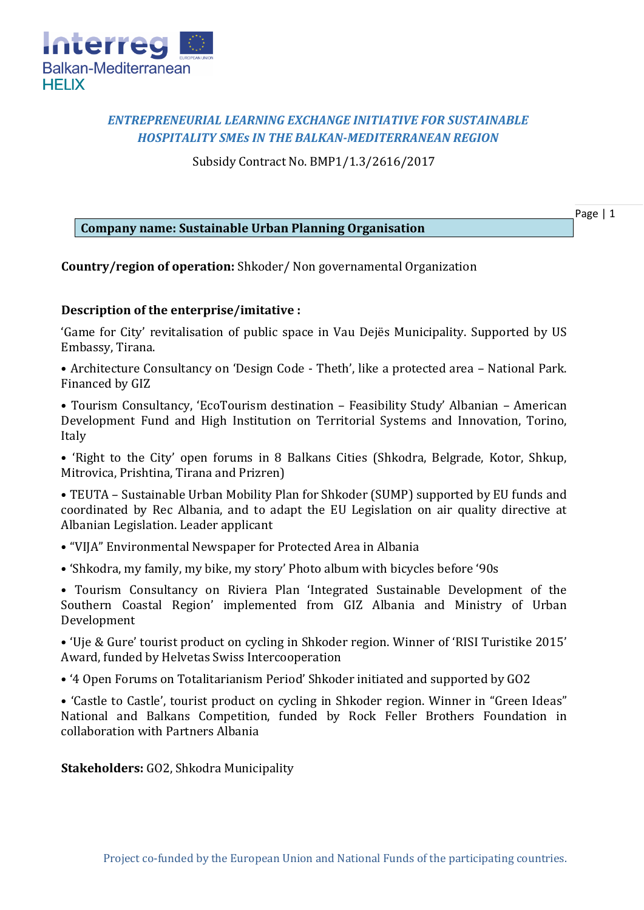

# *ENTREPRENEURIAL LEARNING EXCHANGE INITIATIVE FOR SUSTAINABLE HOSPITALITY SMEs IN THE BALKAN-MEDITERRANEAN REGION*

Subsidy Contract No. BMP1/1.3/2616/2017

**Company name: Sustainable Urban Planning Organisation**

Page | 1

**Country/region of operation:** Shkoder/ Non governamental Organization

# **Description of the enterprise/imitative :**

'Game for City' revitalisation of public space in Vau Dejës Municipality. Supported by US Embassy, Tirana.

• Architecture Consultancy on 'Design Code - Theth', like a protected area – National Park. Financed by GIZ

• Tourism Consultancy, 'EcoTourism destination – Feasibility Study' Albanian – American Development Fund and High Institution on Territorial Systems and Innovation, Torino, Italy

• 'Right to the City' open forums in 8 Balkans Cities (Shkodra, Belgrade, Kotor, Shkup, Mitrovica, Prishtina, Tirana and Prizren)

• TEUTA – Sustainable Urban Mobility Plan for Shkoder (SUMP) supported by EU funds and coordinated by Rec Albania, and to adapt the EU Legislation on air quality directive at Albanian Legislation. Leader applicant

• "VIJA" Environmental Newspaper for Protected Area in Albania

• 'Shkodra, my family, my bike, my story' Photo album with bicycles before '90s

• Tourism Consultancy on Riviera Plan 'Integrated Sustainable Development of the Southern Coastal Region' implemented from GIZ Albania and Ministry of Urban Development

• 'Uje & Gure' tourist product on cycling in Shkoder region. Winner of 'RISI Turistike 2015' Award, funded by Helvetas Swiss Intercooperation

• '4 Open Forums on Totalitarianism Period' Shkoder initiated and supported by GO2

• 'Castle to Castle', tourist product on cycling in Shkoder region. Winner in "Green Ideas" National and Balkans Competition, funded by Rock Feller Brothers Foundation in collaboration with Partners Albania

**Stakeholders:** GO2, Shkodra Municipality